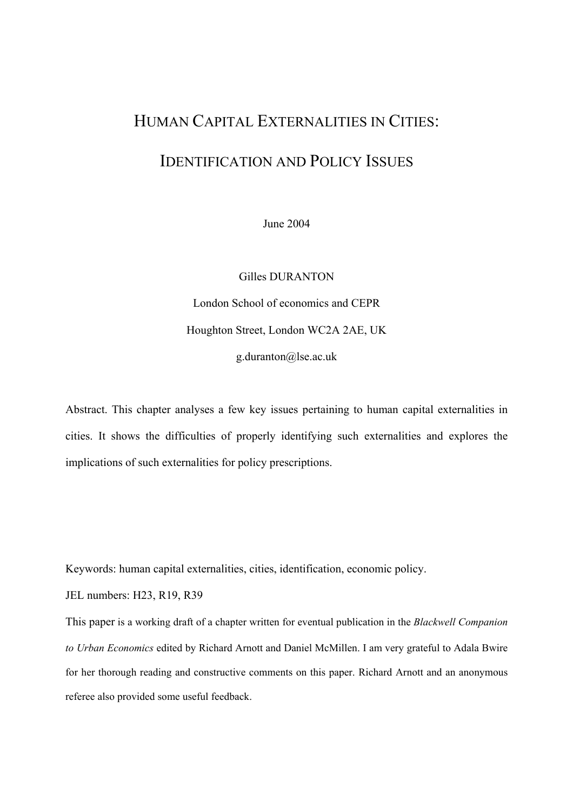# HUMAN CAPITAL EXTERNALITIES IN CITIES: IDENTIFICATION AND POLICY ISSUES

June 2004

Gilles DURANTON

London School of economics and CEPR Houghton Street, London WC2A 2AE, UK g.duranton@lse.ac.uk

Abstract. This chapter analyses a few key issues pertaining to human capital externalities in cities. It shows the difficulties of properly identifying such externalities and explores the implications of such externalities for policy prescriptions.

Keywords: human capital externalities, cities, identification, economic policy.

JEL numbers: H23, R19, R39

This paper is a working draft of a chapter written for eventual publication in the *Blackwell Companion to Urban Economics* edited by Richard Arnott and Daniel McMillen. I am very grateful to Adala Bwire for her thorough reading and constructive comments on this paper. Richard Arnott and an anonymous referee also provided some useful feedback.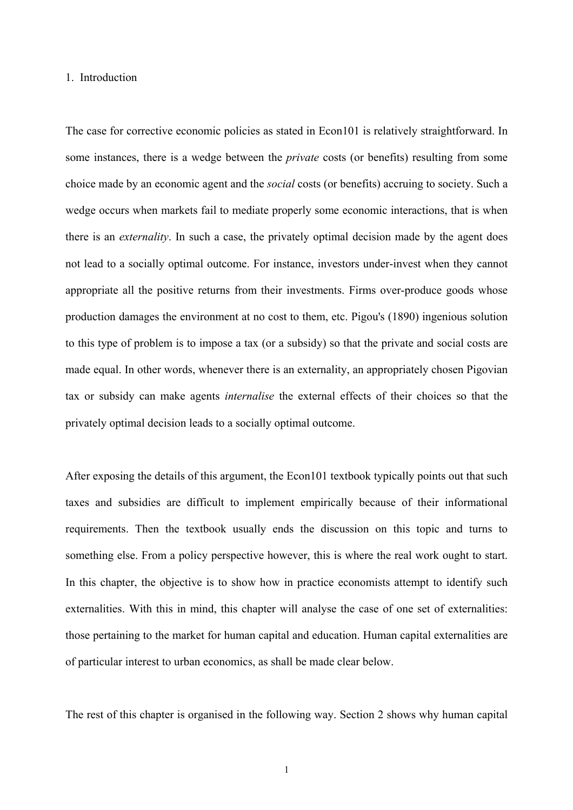### 1. Introduction

The case for corrective economic policies as stated in Econ101 is relatively straightforward. In some instances, there is a wedge between the *private* costs (or benefits) resulting from some choice made by an economic agent and the *social* costs (or benefits) accruing to society. Such a wedge occurs when markets fail to mediate properly some economic interactions, that is when there is an *externality*. In such a case, the privately optimal decision made by the agent does not lead to a socially optimal outcome. For instance, investors under-invest when they cannot appropriate all the positive returns from their investments. Firms over-produce goods whose production damages the environment at no cost to them, etc. Pigou's (1890) ingenious solution to this type of problem is to impose a tax (or a subsidy) so that the private and social costs are made equal. In other words, whenever there is an externality, an appropriately chosen Pigovian tax or subsidy can make agents *internalise* the external effects of their choices so that the privately optimal decision leads to a socially optimal outcome.

After exposing the details of this argument, the Econ101 textbook typically points out that such taxes and subsidies are difficult to implement empirically because of their informational requirements. Then the textbook usually ends the discussion on this topic and turns to something else. From a policy perspective however, this is where the real work ought to start. In this chapter, the objective is to show how in practice economists attempt to identify such externalities. With this in mind, this chapter will analyse the case of one set of externalities: those pertaining to the market for human capital and education. Human capital externalities are of particular interest to urban economics, as shall be made clear below.

The rest of this chapter is organised in the following way. Section 2 shows why human capital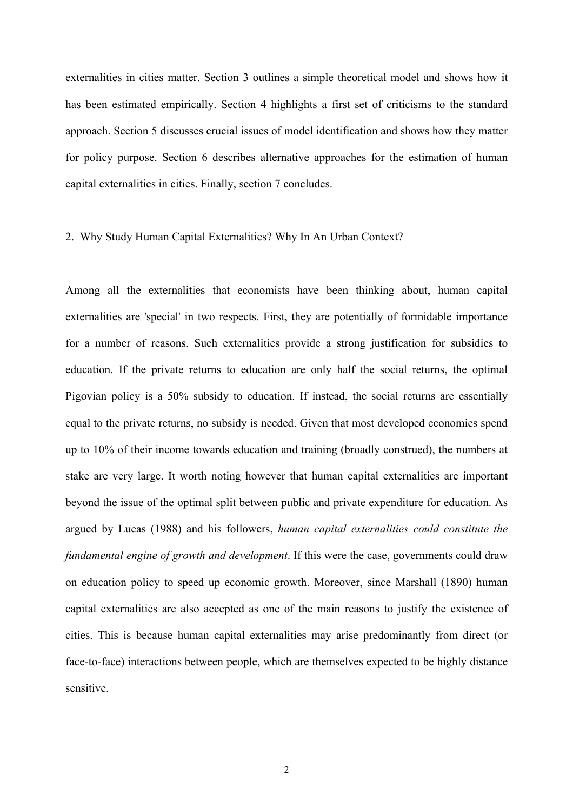externalities in cities matter. Section 3 outlines a simple theoretical model and shows how it has been estimated empirically. Section 4 highlights a first set of criticisms to the standard approach. Section 5 discusses crucial issues of model identification and shows how they matter for policy purpose. Section 6 describes alternative approaches for the estimation of human capital externalities in cities. Finally, section 7 concludes.

## 2. Why Study Human Capital Externalities? Why In An Urban Context?

Among all the externalities that economists have been thinking about, human capital externalities are 'special' in two respects. First, they are potentially of formidable importance for a number of reasons. Such externalities provide a strong justification for subsidies to education. If the private returns to education are only half the social returns, the optimal Pigovian policy is a 50% subsidy to education. If instead, the social returns are essentially equal to the private returns, no subsidy is needed. Given that most developed economies spend up to 10% of their income towards education and training (broadly construed), the numbers at stake are very large. It worth noting however that human capital externalities are important beyond the issue of the optimal split between public and private expenditure for education. As argued by Lucas (1988) and his followers, *human capital externalities could constitute the fundamental engine of growth and development*. If this were the case, governments could draw on education policy to speed up economic growth. Moreover, since Marshall (1890) human capital externalities are also accepted as one of the main reasons to justify the existence of cities. This is because human capital externalities may arise predominantly from direct (or face-to-face) interactions between people, which are themselves expected to be highly distance sensitive.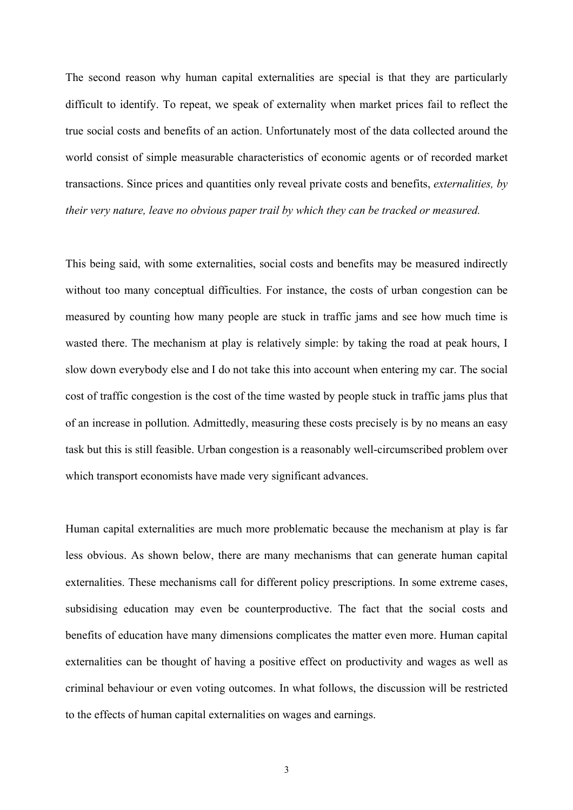The second reason why human capital externalities are special is that they are particularly difficult to identify. To repeat, we speak of externality when market prices fail to reflect the true social costs and benefits of an action. Unfortunately most of the data collected around the world consist of simple measurable characteristics of economic agents or of recorded market transactions. Since prices and quantities only reveal private costs and benefits, *externalities, by their very nature, leave no obvious paper trail by which they can be tracked or measured.*

This being said, with some externalities, social costs and benefits may be measured indirectly without too many conceptual difficulties. For instance, the costs of urban congestion can be measured by counting how many people are stuck in traffic jams and see how much time is wasted there. The mechanism at play is relatively simple: by taking the road at peak hours, I slow down everybody else and I do not take this into account when entering my car. The social cost of traffic congestion is the cost of the time wasted by people stuck in traffic jams plus that of an increase in pollution. Admittedly, measuring these costs precisely is by no means an easy task but this is still feasible. Urban congestion is a reasonably well-circumscribed problem over which transport economists have made very significant advances.

Human capital externalities are much more problematic because the mechanism at play is far less obvious. As shown below, there are many mechanisms that can generate human capital externalities. These mechanisms call for different policy prescriptions. In some extreme cases, subsidising education may even be counterproductive. The fact that the social costs and benefits of education have many dimensions complicates the matter even more. Human capital externalities can be thought of having a positive effect on productivity and wages as well as criminal behaviour or even voting outcomes. In what follows, the discussion will be restricted to the effects of human capital externalities on wages and earnings.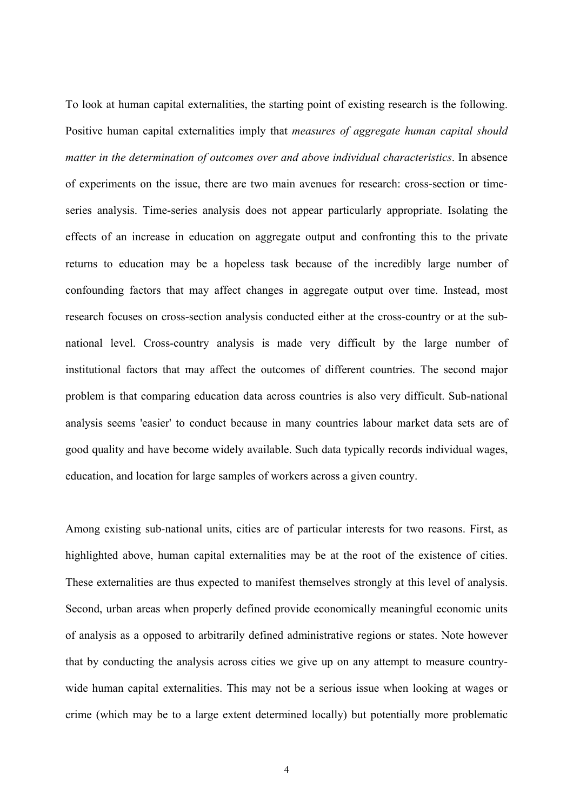To look at human capital externalities, the starting point of existing research is the following. Positive human capital externalities imply that *measures of aggregate human capital should matter in the determination of outcomes over and above individual characteristics*. In absence of experiments on the issue, there are two main avenues for research: cross-section or timeseries analysis. Time-series analysis does not appear particularly appropriate. Isolating the effects of an increase in education on aggregate output and confronting this to the private returns to education may be a hopeless task because of the incredibly large number of confounding factors that may affect changes in aggregate output over time. Instead, most research focuses on cross-section analysis conducted either at the cross-country or at the subnational level. Cross-country analysis is made very difficult by the large number of institutional factors that may affect the outcomes of different countries. The second major problem is that comparing education data across countries is also very difficult. Sub-national analysis seems 'easier' to conduct because in many countries labour market data sets are of good quality and have become widely available. Such data typically records individual wages, education, and location for large samples of workers across a given country.

Among existing sub-national units, cities are of particular interests for two reasons. First, as highlighted above, human capital externalities may be at the root of the existence of cities. These externalities are thus expected to manifest themselves strongly at this level of analysis. Second, urban areas when properly defined provide economically meaningful economic units of analysis as a opposed to arbitrarily defined administrative regions or states. Note however that by conducting the analysis across cities we give up on any attempt to measure countrywide human capital externalities. This may not be a serious issue when looking at wages or crime (which may be to a large extent determined locally) but potentially more problematic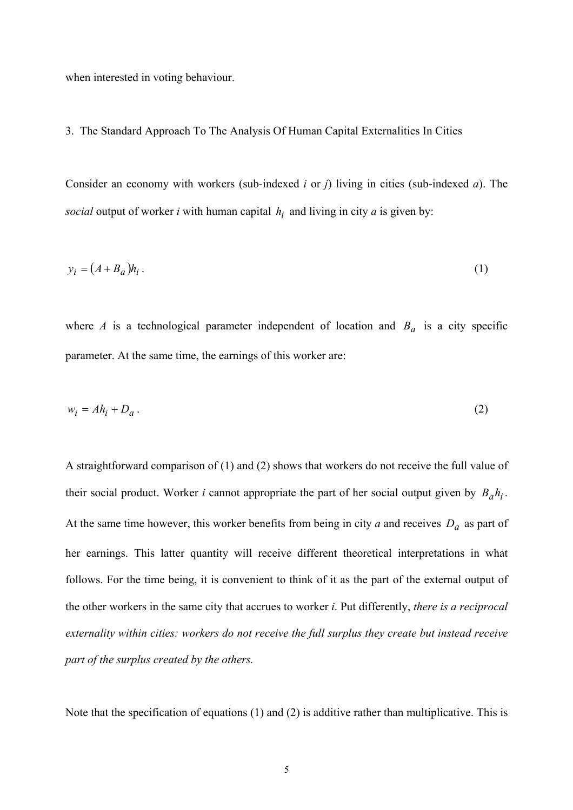when interested in voting behaviour.

### 3. The Standard Approach To The Analysis Of Human Capital Externalities In Cities

Consider an economy with workers (sub-indexed *i* or *j*) living in cities (sub-indexed *a*). The *social* output of worker *i* with human capital  $h_i$  and living in city *a* is given by:

$$
y_i = (A + B_a)h_i. \tag{1}
$$

where A is a technological parameter independent of location and  $B_a$  is a city specific parameter. At the same time, the earnings of this worker are:

$$
w_i = Ah_i + D_a \tag{2}
$$

A straightforward comparison of (1) and (2) shows that workers do not receive the full value of their social product. Worker *i* cannot appropriate the part of her social output given by  $B_a h_i$ . At the same time however, this worker benefits from being in city  $a$  and receives  $D_a$  as part of her earnings. This latter quantity will receive different theoretical interpretations in what follows. For the time being, it is convenient to think of it as the part of the external output of the other workers in the same city that accrues to worker *i*. Put differently, *there is a reciprocal externality within cities: workers do not receive the full surplus they create but instead receive part of the surplus created by the others.*

Note that the specification of equations (1) and (2) is additive rather than multiplicative. This is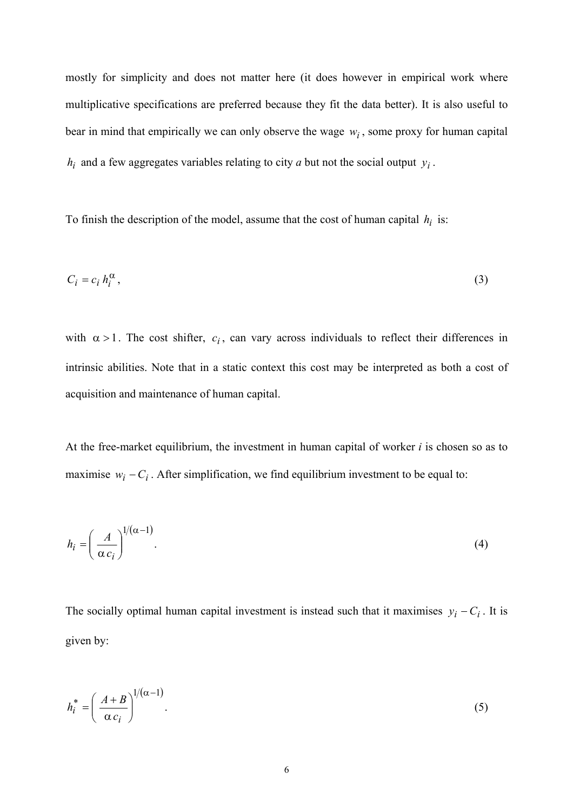mostly for simplicity and does not matter here (it does however in empirical work where multiplicative specifications are preferred because they fit the data better). It is also useful to bear in mind that empirically we can only observe the wage  $w_i$ , some proxy for human capital  $h_i$  and a few aggregates variables relating to city *a* but not the social output  $y_i$ .

To finish the description of the model, assume that the cost of human capital  $h_i$  is:

$$
C_i = c_i h_i^{\alpha}, \tag{3}
$$

with  $\alpha > 1$ . The cost shifter,  $c_i$ , can vary across individuals to reflect their differences in intrinsic abilities. Note that in a static context this cost may be interpreted as both a cost of acquisition and maintenance of human capital.

At the free-market equilibrium, the investment in human capital of worker *i* is chosen so as to maximise  $w_i - C_i$ . After simplification, we find equilibrium investment to be equal to:

$$
h_i = \left(\frac{A}{\alpha c_i}\right)^{1/(\alpha - 1)}.\tag{4}
$$

The socially optimal human capital investment is instead such that it maximises  $y_i - C_i$ . It is given by:

$$
h_i^* = \left(\frac{A+B}{\alpha c_i}\right)^{1/(\alpha-1)}.\tag{5}
$$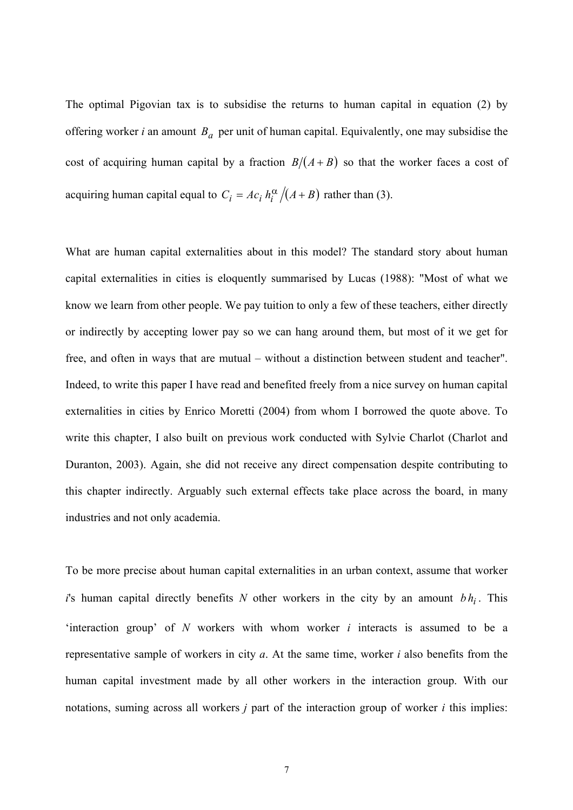The optimal Pigovian tax is to subsidise the returns to human capital in equation (2) by offering worker *i* an amount  $B_a$  per unit of human capital. Equivalently, one may subsidise the cost of acquiring human capital by a fraction  $B/(A+B)$  so that the worker faces a cost of acquiring human capital equal to  $C_i = Ac_i h_i^{\alpha}/(A+B)$  rather than (3).

What are human capital externalities about in this model? The standard story about human capital externalities in cities is eloquently summarised by Lucas (1988): "Most of what we know we learn from other people. We pay tuition to only a few of these teachers, either directly or indirectly by accepting lower pay so we can hang around them, but most of it we get for free, and often in ways that are mutual – without a distinction between student and teacher". Indeed, to write this paper I have read and benefited freely from a nice survey on human capital externalities in cities by Enrico Moretti (2004) from whom I borrowed the quote above. To write this chapter, I also built on previous work conducted with Sylvie Charlot (Charlot and Duranton, 2003). Again, she did not receive any direct compensation despite contributing to this chapter indirectly. Arguably such external effects take place across the board, in many industries and not only academia.

To be more precise about human capital externalities in an urban context, assume that worker *i*'s human capital directly benefits *N* other workers in the city by an amount  $bh_i$ . This 'interaction group' of *N* workers with whom worker *i* interacts is assumed to be a representative sample of workers in city *a*. At the same time, worker *i* also benefits from the human capital investment made by all other workers in the interaction group. With our notations, suming across all workers *j* part of the interaction group of worker *i* this implies: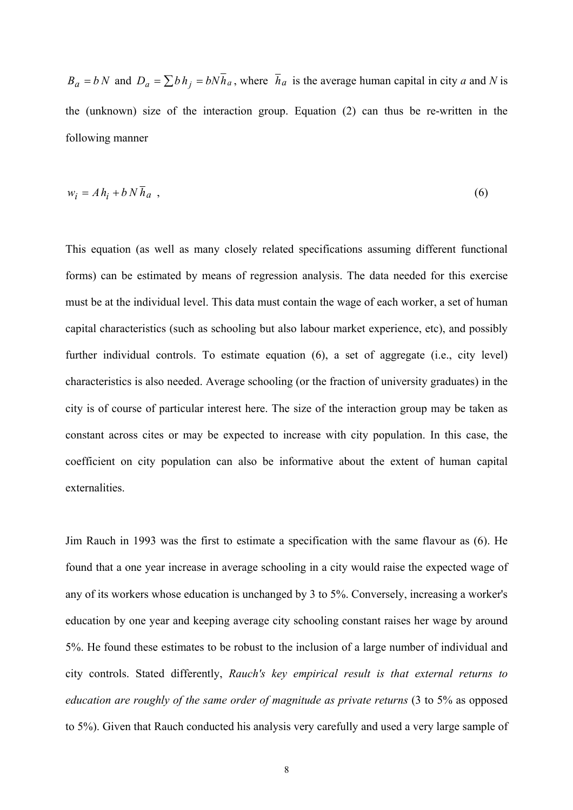$B_a = bN$  and  $D_a = \sum b h_j = bN \overline{h}_a$ , where  $\overline{h}_a$  is the average human capital in city *a* and *N* is the (unknown) size of the interaction group. Equation (2) can thus be re-written in the following manner

$$
w_i = A h_i + b N \overline{h}_a , \qquad (6)
$$

This equation (as well as many closely related specifications assuming different functional forms) can be estimated by means of regression analysis. The data needed for this exercise must be at the individual level. This data must contain the wage of each worker, a set of human capital characteristics (such as schooling but also labour market experience, etc), and possibly further individual controls. To estimate equation (6), a set of aggregate (i.e., city level) characteristics is also needed. Average schooling (or the fraction of university graduates) in the city is of course of particular interest here. The size of the interaction group may be taken as constant across cites or may be expected to increase with city population. In this case, the coefficient on city population can also be informative about the extent of human capital externalities.

Jim Rauch in 1993 was the first to estimate a specification with the same flavour as (6). He found that a one year increase in average schooling in a city would raise the expected wage of any of its workers whose education is unchanged by 3 to 5%. Conversely, increasing a worker's education by one year and keeping average city schooling constant raises her wage by around 5%. He found these estimates to be robust to the inclusion of a large number of individual and city controls. Stated differently, *Rauch's key empirical result is that external returns to education are roughly of the same order of magnitude as private returns (3 to 5% as opposed* to 5%). Given that Rauch conducted his analysis very carefully and used a very large sample of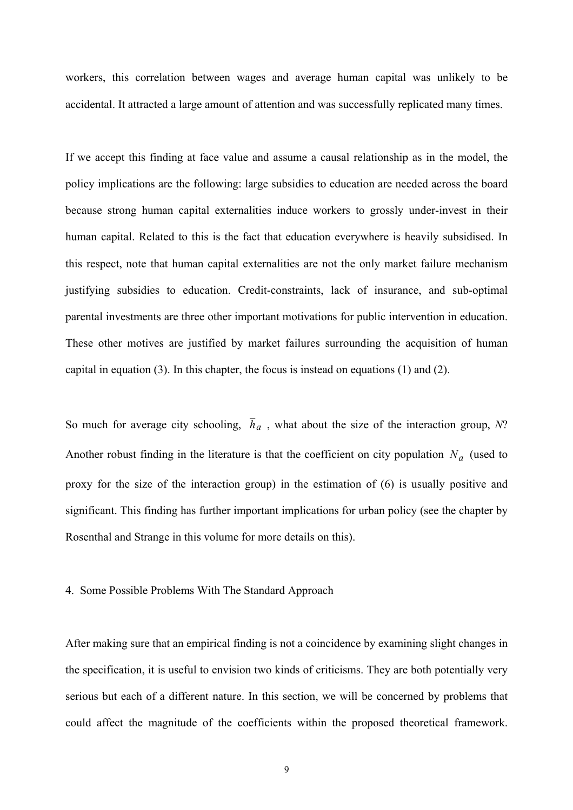workers, this correlation between wages and average human capital was unlikely to be accidental. It attracted a large amount of attention and was successfully replicated many times.

If we accept this finding at face value and assume a causal relationship as in the model, the policy implications are the following: large subsidies to education are needed across the board because strong human capital externalities induce workers to grossly under-invest in their human capital. Related to this is the fact that education everywhere is heavily subsidised. In this respect, note that human capital externalities are not the only market failure mechanism justifying subsidies to education. Credit-constraints, lack of insurance, and sub-optimal parental investments are three other important motivations for public intervention in education. These other motives are justified by market failures surrounding the acquisition of human capital in equation (3). In this chapter, the focus is instead on equations (1) and (2).

So much for average city schooling,  $\bar{h}_a$ , what about the size of the interaction group, *N*? Another robust finding in the literature is that the coefficient on city population  $N_a$  (used to proxy for the size of the interaction group) in the estimation of (6) is usually positive and significant. This finding has further important implications for urban policy (see the chapter by Rosenthal and Strange in this volume for more details on this).

## 4. Some Possible Problems With The Standard Approach

After making sure that an empirical finding is not a coincidence by examining slight changes in the specification, it is useful to envision two kinds of criticisms. They are both potentially very serious but each of a different nature. In this section, we will be concerned by problems that could affect the magnitude of the coefficients within the proposed theoretical framework.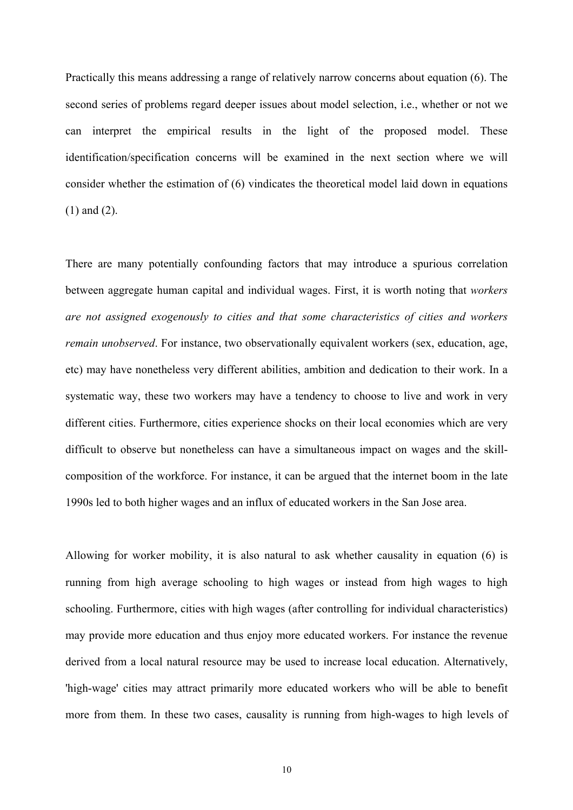Practically this means addressing a range of relatively narrow concerns about equation (6). The second series of problems regard deeper issues about model selection, i.e., whether or not we can interpret the empirical results in the light of the proposed model. These identification/specification concerns will be examined in the next section where we will consider whether the estimation of (6) vindicates the theoretical model laid down in equations (1) and (2).

There are many potentially confounding factors that may introduce a spurious correlation between aggregate human capital and individual wages. First, it is worth noting that *workers are not assigned exogenously to cities and that some characteristics of cities and workers remain unobserved*. For instance, two observationally equivalent workers (sex, education, age, etc) may have nonetheless very different abilities, ambition and dedication to their work. In a systematic way, these two workers may have a tendency to choose to live and work in very different cities. Furthermore, cities experience shocks on their local economies which are very difficult to observe but nonetheless can have a simultaneous impact on wages and the skillcomposition of the workforce. For instance, it can be argued that the internet boom in the late 1990s led to both higher wages and an influx of educated workers in the San Jose area.

Allowing for worker mobility, it is also natural to ask whether causality in equation (6) is running from high average schooling to high wages or instead from high wages to high schooling. Furthermore, cities with high wages (after controlling for individual characteristics) may provide more education and thus enjoy more educated workers. For instance the revenue derived from a local natural resource may be used to increase local education. Alternatively, 'high-wage' cities may attract primarily more educated workers who will be able to benefit more from them. In these two cases, causality is running from high-wages to high levels of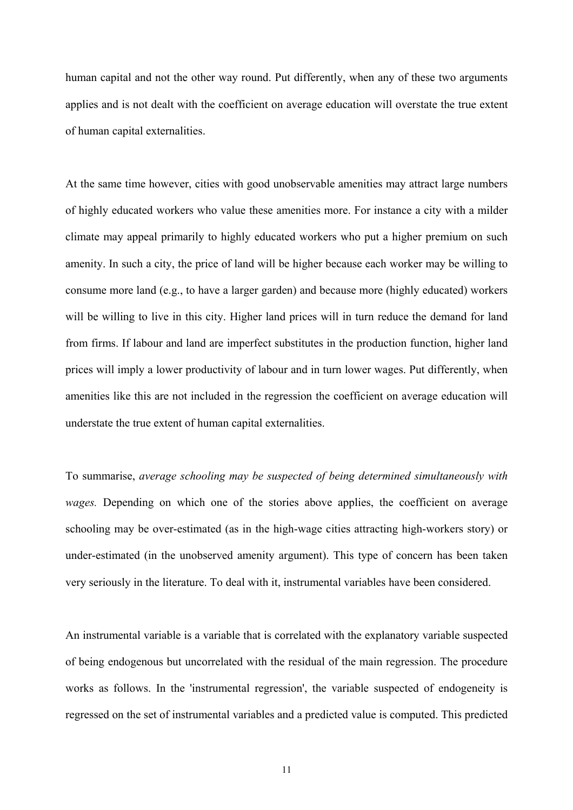human capital and not the other way round. Put differently, when any of these two arguments applies and is not dealt with the coefficient on average education will overstate the true extent of human capital externalities.

At the same time however, cities with good unobservable amenities may attract large numbers of highly educated workers who value these amenities more. For instance a city with a milder climate may appeal primarily to highly educated workers who put a higher premium on such amenity. In such a city, the price of land will be higher because each worker may be willing to consume more land (e.g., to have a larger garden) and because more (highly educated) workers will be willing to live in this city. Higher land prices will in turn reduce the demand for land from firms. If labour and land are imperfect substitutes in the production function, higher land prices will imply a lower productivity of labour and in turn lower wages. Put differently, when amenities like this are not included in the regression the coefficient on average education will understate the true extent of human capital externalities.

To summarise, *average schooling may be suspected of being determined simultaneously with wages.* Depending on which one of the stories above applies, the coefficient on average schooling may be over-estimated (as in the high-wage cities attracting high-workers story) or under-estimated (in the unobserved amenity argument). This type of concern has been taken very seriously in the literature. To deal with it, instrumental variables have been considered.

An instrumental variable is a variable that is correlated with the explanatory variable suspected of being endogenous but uncorrelated with the residual of the main regression. The procedure works as follows. In the 'instrumental regression', the variable suspected of endogeneity is regressed on the set of instrumental variables and a predicted value is computed. This predicted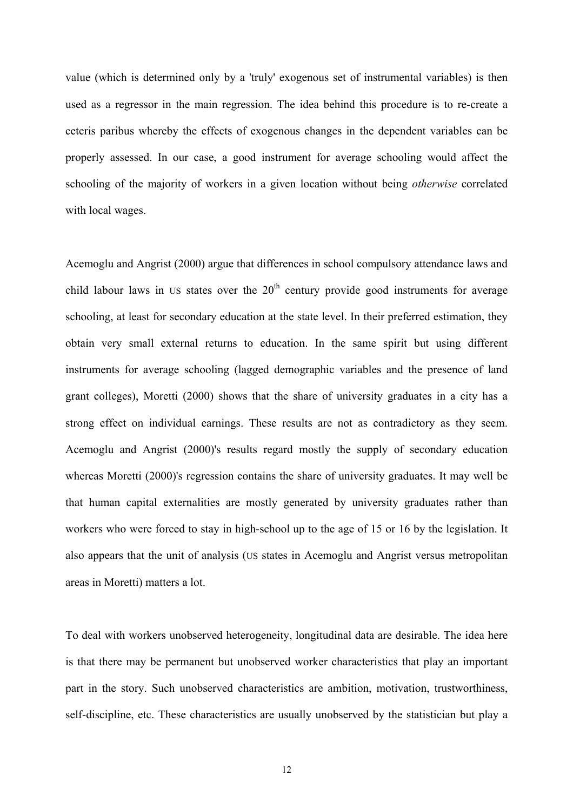value (which is determined only by a 'truly' exogenous set of instrumental variables) is then used as a regressor in the main regression. The idea behind this procedure is to re-create a ceteris paribus whereby the effects of exogenous changes in the dependent variables can be properly assessed. In our case, a good instrument for average schooling would affect the schooling of the majority of workers in a given location without being *otherwise* correlated with local wages.

Acemoglu and Angrist (2000) argue that differences in school compulsory attendance laws and child labour laws in US states over the  $20<sup>th</sup>$  century provide good instruments for average schooling, at least for secondary education at the state level. In their preferred estimation, they obtain very small external returns to education. In the same spirit but using different instruments for average schooling (lagged demographic variables and the presence of land grant colleges), Moretti (2000) shows that the share of university graduates in a city has a strong effect on individual earnings. These results are not as contradictory as they seem. Acemoglu and Angrist (2000)'s results regard mostly the supply of secondary education whereas Moretti (2000)'s regression contains the share of university graduates. It may well be that human capital externalities are mostly generated by university graduates rather than workers who were forced to stay in high-school up to the age of 15 or 16 by the legislation. It also appears that the unit of analysis (US states in Acemoglu and Angrist versus metropolitan areas in Moretti) matters a lot.

To deal with workers unobserved heterogeneity, longitudinal data are desirable. The idea here is that there may be permanent but unobserved worker characteristics that play an important part in the story. Such unobserved characteristics are ambition, motivation, trustworthiness, self-discipline, etc. These characteristics are usually unobserved by the statistician but play a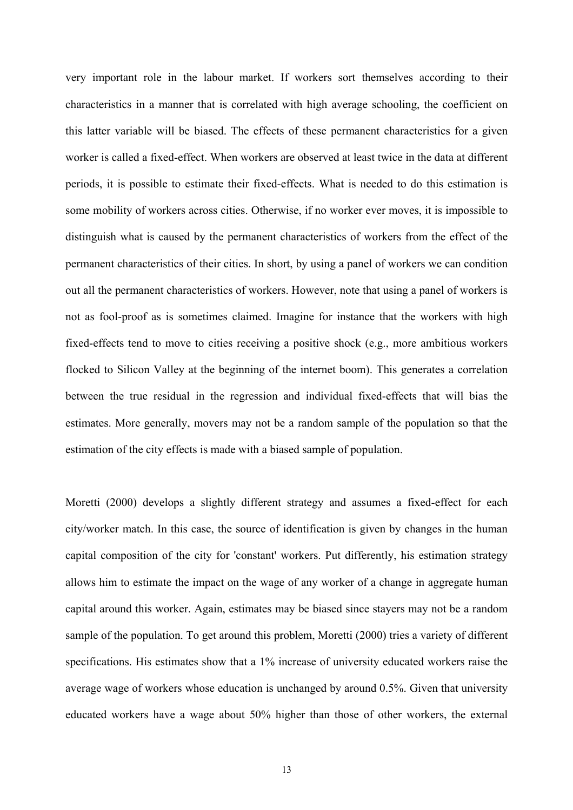very important role in the labour market. If workers sort themselves according to their characteristics in a manner that is correlated with high average schooling, the coefficient on this latter variable will be biased. The effects of these permanent characteristics for a given worker is called a fixed-effect. When workers are observed at least twice in the data at different periods, it is possible to estimate their fixed-effects. What is needed to do this estimation is some mobility of workers across cities. Otherwise, if no worker ever moves, it is impossible to distinguish what is caused by the permanent characteristics of workers from the effect of the permanent characteristics of their cities. In short, by using a panel of workers we can condition out all the permanent characteristics of workers. However, note that using a panel of workers is not as fool-proof as is sometimes claimed. Imagine for instance that the workers with high fixed-effects tend to move to cities receiving a positive shock (e.g., more ambitious workers flocked to Silicon Valley at the beginning of the internet boom). This generates a correlation between the true residual in the regression and individual fixed-effects that will bias the estimates. More generally, movers may not be a random sample of the population so that the estimation of the city effects is made with a biased sample of population.

Moretti (2000) develops a slightly different strategy and assumes a fixed-effect for each city/worker match. In this case, the source of identification is given by changes in the human capital composition of the city for 'constant' workers. Put differently, his estimation strategy allows him to estimate the impact on the wage of any worker of a change in aggregate human capital around this worker. Again, estimates may be biased since stayers may not be a random sample of the population. To get around this problem, Moretti (2000) tries a variety of different specifications. His estimates show that a 1% increase of university educated workers raise the average wage of workers whose education is unchanged by around 0.5%. Given that university educated workers have a wage about 50% higher than those of other workers, the external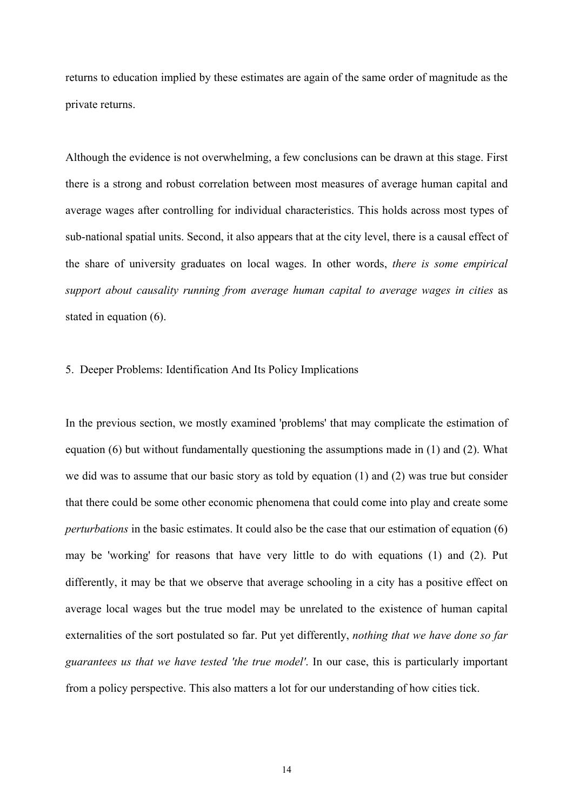returns to education implied by these estimates are again of the same order of magnitude as the private returns.

Although the evidence is not overwhelming, a few conclusions can be drawn at this stage. First there is a strong and robust correlation between most measures of average human capital and average wages after controlling for individual characteristics. This holds across most types of sub-national spatial units. Second, it also appears that at the city level, there is a causal effect of the share of university graduates on local wages. In other words, *there is some empirical support about causality running from average human capital to average wages in cities* as stated in equation (6).

#### 5. Deeper Problems: Identification And Its Policy Implications

In the previous section, we mostly examined 'problems' that may complicate the estimation of equation (6) but without fundamentally questioning the assumptions made in (1) and (2). What we did was to assume that our basic story as told by equation (1) and (2) was true but consider that there could be some other economic phenomena that could come into play and create some *perturbations* in the basic estimates. It could also be the case that our estimation of equation (6) may be 'working' for reasons that have very little to do with equations (1) and (2). Put differently, it may be that we observe that average schooling in a city has a positive effect on average local wages but the true model may be unrelated to the existence of human capital externalities of the sort postulated so far. Put yet differently, *nothing that we have done so far guarantees us that we have tested 'the true model'*. In our case, this is particularly important from a policy perspective. This also matters a lot for our understanding of how cities tick.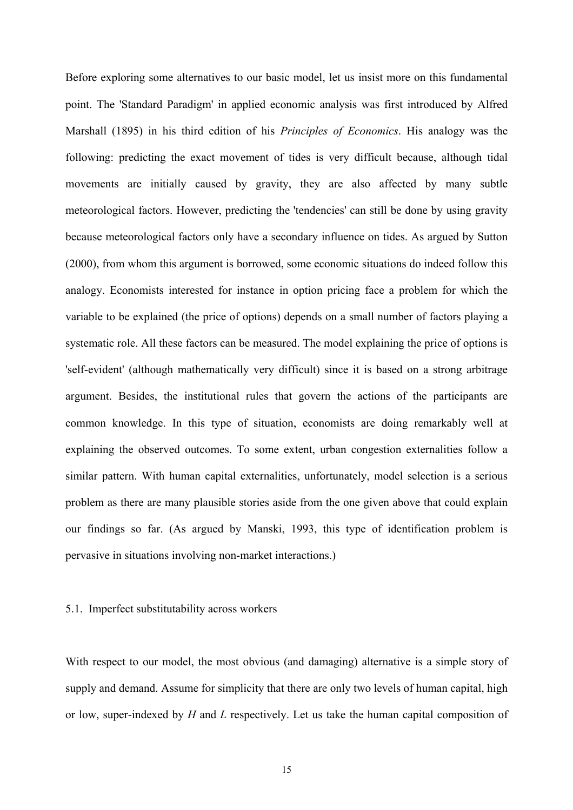Before exploring some alternatives to our basic model, let us insist more on this fundamental point. The 'Standard Paradigm' in applied economic analysis was first introduced by Alfred Marshall (1895) in his third edition of his *Principles of Economics*. His analogy was the following: predicting the exact movement of tides is very difficult because, although tidal movements are initially caused by gravity, they are also affected by many subtle meteorological factors. However, predicting the 'tendencies' can still be done by using gravity because meteorological factors only have a secondary influence on tides. As argued by Sutton (2000), from whom this argument is borrowed, some economic situations do indeed follow this analogy. Economists interested for instance in option pricing face a problem for which the variable to be explained (the price of options) depends on a small number of factors playing a systematic role. All these factors can be measured. The model explaining the price of options is 'self-evident' (although mathematically very difficult) since it is based on a strong arbitrage argument. Besides, the institutional rules that govern the actions of the participants are common knowledge. In this type of situation, economists are doing remarkably well at explaining the observed outcomes. To some extent, urban congestion externalities follow a similar pattern. With human capital externalities, unfortunately, model selection is a serious problem as there are many plausible stories aside from the one given above that could explain our findings so far. (As argued by Manski, 1993, this type of identification problem is pervasive in situations involving non-market interactions.)

# 5.1. Imperfect substitutability across workers

With respect to our model, the most obvious (and damaging) alternative is a simple story of supply and demand. Assume for simplicity that there are only two levels of human capital, high or low, super-indexed by *H* and *L* respectively. Let us take the human capital composition of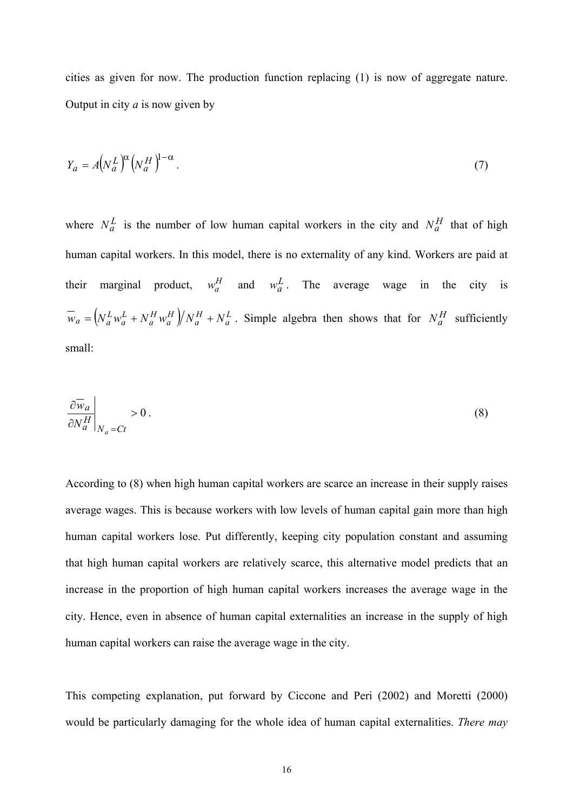cities as given for now. The production function replacing (1) is now of aggregate nature. Output in city *a* is now given by

$$
Y_a = A \left( N_a^L \right)^\alpha \left( N_a^H \right)^{1-\alpha} . \tag{7}
$$

where  $N_a^L$  is the number of low human capital workers in the city and  $N_a^H$  that of high human capital workers. In this model, there is no externality of any kind. Workers are paid at their marginal product,  $w_a^H$  and  $w_a^L$ . The average wage in the city is  $\overline{w}_a = (N_a^L w_a^L + N_a^H w_a^H) / N_a^H + N_a^L$ . Simple algebra then shows that for  $N_a^H$  sufficiently small:

$$
\left. \frac{\partial \overline{w}_a}{\partial N_a^H} \right|_{N_a = Ct} > 0 \,. \tag{8}
$$

According to (8) when high human capital workers are scarce an increase in their supply raises average wages. This is because workers with low levels of human capital gain more than high human capital workers lose. Put differently, keeping city population constant and assuming that high human capital workers are relatively scarce, this alternative model predicts that an increase in the proportion of high human capital workers increases the average wage in the city. Hence, even in absence of human capital externalities an increase in the supply of high human capital workers can raise the average wage in the city.

This competing explanation, put forward by Ciccone and Peri (2002) and Moretti (2000) would be particularly damaging for the whole idea of human capital externalities. *There may*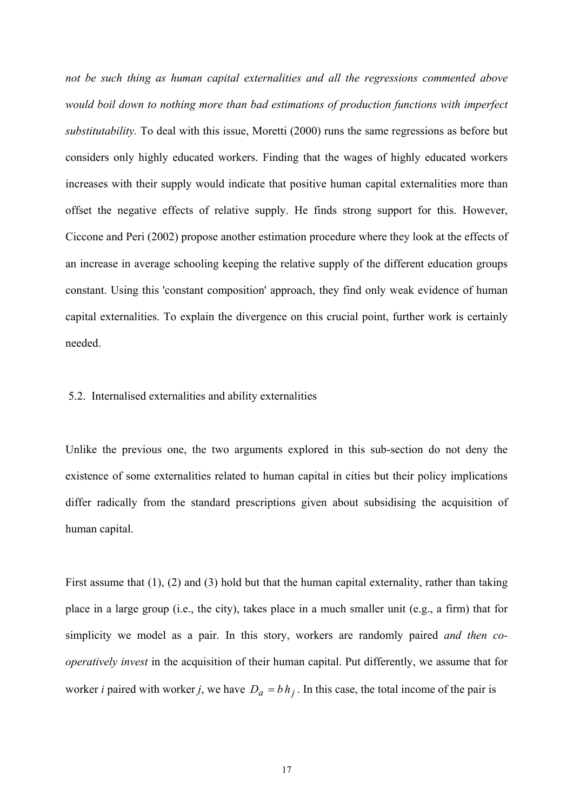*not be such thing as human capital externalities and all the regressions commented above would boil down to nothing more than bad estimations of production functions with imperfect substitutability.* To deal with this issue, Moretti (2000) runs the same regressions as before but considers only highly educated workers. Finding that the wages of highly educated workers increases with their supply would indicate that positive human capital externalities more than offset the negative effects of relative supply. He finds strong support for this. However, Ciccone and Peri (2002) propose another estimation procedure where they look at the effects of an increase in average schooling keeping the relative supply of the different education groups constant. Using this 'constant composition' approach, they find only weak evidence of human capital externalities. To explain the divergence on this crucial point, further work is certainly needed.

## 5.2. Internalised externalities and ability externalities

Unlike the previous one, the two arguments explored in this sub-section do not deny the existence of some externalities related to human capital in cities but their policy implications differ radically from the standard prescriptions given about subsidising the acquisition of human capital.

First assume that (1), (2) and (3) hold but that the human capital externality, rather than taking place in a large group (i.e., the city), takes place in a much smaller unit (e.g., a firm) that for simplicity we model as a pair. In this story, workers are randomly paired *and then cooperatively invest* in the acquisition of their human capital. Put differently, we assume that for worker *i* paired with worker *j*, we have  $D_a = bh_i$ . In this case, the total income of the pair is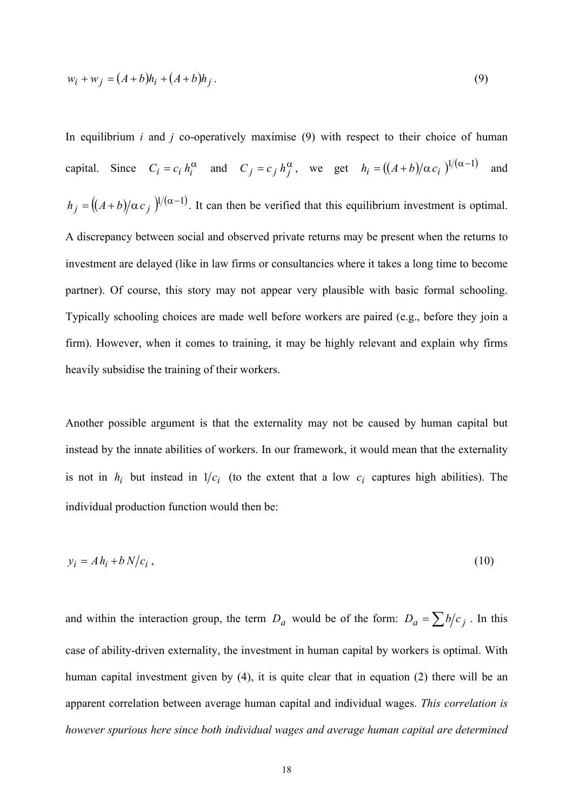$$
w_i + w_j = (A + b)h_i + (A + b)h_j.
$$
\n(9)

In equilibrium *i* and *j* co-operatively maximise (9) with respect to their choice of human capital. Since  $C_i = c_i h_i^{\alpha}$  and  $C_j = c_j h_j^{\alpha}$ , we get  $h_i = ((A+b)/\alpha c_i)^{1/(\alpha-1)}$  and  $h_j = ((A+b)/\alpha c_j)^{1/(\alpha-1)}$ . It can then be verified that this equilibrium investment is optimal. A discrepancy between social and observed private returns may be present when the returns to investment are delayed (like in law firms or consultancies where it takes a long time to become partner). Of course, this story may not appear very plausible with basic formal schooling. Typically schooling choices are made well before workers are paired (e.g., before they join a firm). However, when it comes to training, it may be highly relevant and explain why firms heavily subsidise the training of their workers.

Another possible argument is that the externality may not be caused by human capital but instead by the innate abilities of workers. In our framework, it would mean that the externality is not in  $h_i$  but instead in  $1/c_i$  (to the extent that a low  $c_i$  captures high abilities). The individual production function would then be:

$$
y_i = A h_i + b N/c_i, \qquad (10)
$$

and within the interaction group, the term  $D_a$  would be of the form:  $D_a = \sum b/c_j$ . In this case of ability-driven externality, the investment in human capital by workers is optimal. With human capital investment given by (4), it is quite clear that in equation (2) there will be an apparent correlation between average human capital and individual wages. *This correlation is however spurious here since both individual wages and average human capital are determined*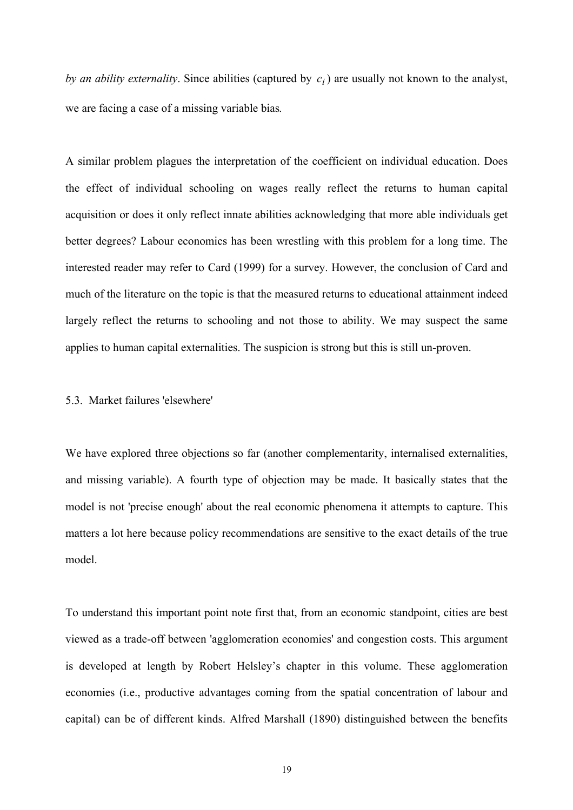*by an ability externality*. Since abilities (captured by  $c_i$ ) are usually not known to the analyst, we are facing a case of a missing variable bias*.* 

A similar problem plagues the interpretation of the coefficient on individual education. Does the effect of individual schooling on wages really reflect the returns to human capital acquisition or does it only reflect innate abilities acknowledging that more able individuals get better degrees? Labour economics has been wrestling with this problem for a long time. The interested reader may refer to Card (1999) for a survey. However, the conclusion of Card and much of the literature on the topic is that the measured returns to educational attainment indeed largely reflect the returns to schooling and not those to ability. We may suspect the same applies to human capital externalities. The suspicion is strong but this is still un-proven.

### 5.3. Market failures 'elsewhere'

We have explored three objections so far (another complementarity, internalised externalities, and missing variable). A fourth type of objection may be made. It basically states that the model is not 'precise enough' about the real economic phenomena it attempts to capture. This matters a lot here because policy recommendations are sensitive to the exact details of the true model.

To understand this important point note first that, from an economic standpoint, cities are best viewed as a trade-off between 'agglomeration economies' and congestion costs. This argument is developed at length by Robert Helsley's chapter in this volume. These agglomeration economies (i.e., productive advantages coming from the spatial concentration of labour and capital) can be of different kinds. Alfred Marshall (1890) distinguished between the benefits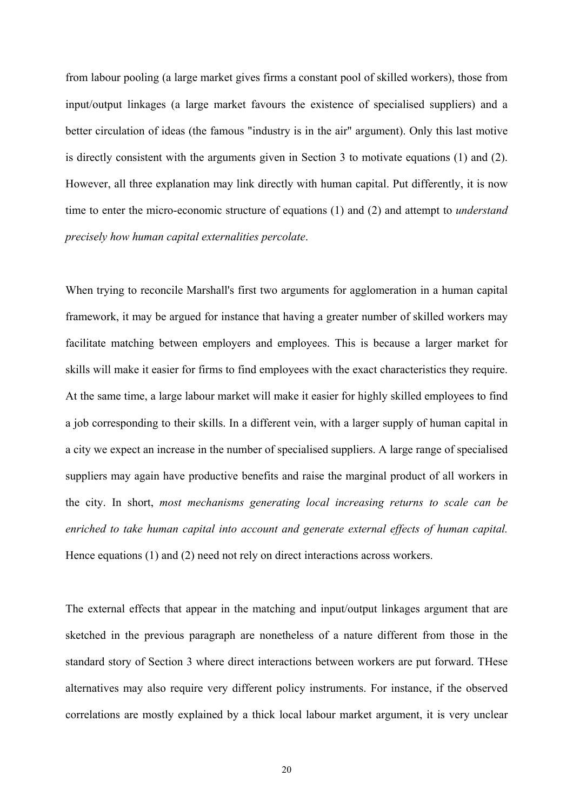from labour pooling (a large market gives firms a constant pool of skilled workers), those from input/output linkages (a large market favours the existence of specialised suppliers) and a better circulation of ideas (the famous "industry is in the air" argument). Only this last motive is directly consistent with the arguments given in Section 3 to motivate equations (1) and (2). However, all three explanation may link directly with human capital. Put differently, it is now time to enter the micro-economic structure of equations (1) and (2) and attempt to *understand precisely how human capital externalities percolate*.

When trying to reconcile Marshall's first two arguments for agglomeration in a human capital framework, it may be argued for instance that having a greater number of skilled workers may facilitate matching between employers and employees. This is because a larger market for skills will make it easier for firms to find employees with the exact characteristics they require. At the same time, a large labour market will make it easier for highly skilled employees to find a job corresponding to their skills. In a different vein, with a larger supply of human capital in a city we expect an increase in the number of specialised suppliers. A large range of specialised suppliers may again have productive benefits and raise the marginal product of all workers in the city. In short, *most mechanisms generating local increasing returns to scale can be enriched to take human capital into account and generate external effects of human capital.* Hence equations (1) and (2) need not rely on direct interactions across workers.

The external effects that appear in the matching and input/output linkages argument that are sketched in the previous paragraph are nonetheless of a nature different from those in the standard story of Section 3 where direct interactions between workers are put forward. THese alternatives may also require very different policy instruments. For instance, if the observed correlations are mostly explained by a thick local labour market argument, it is very unclear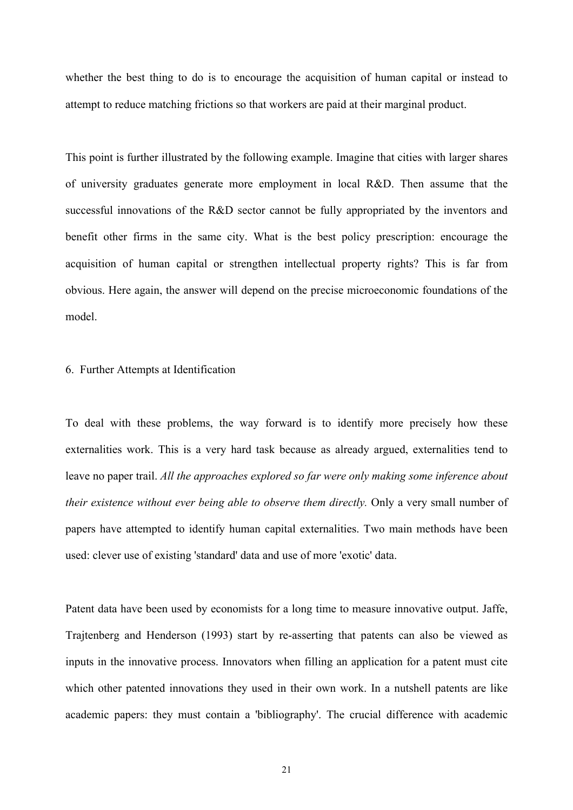whether the best thing to do is to encourage the acquisition of human capital or instead to attempt to reduce matching frictions so that workers are paid at their marginal product.

This point is further illustrated by the following example. Imagine that cities with larger shares of university graduates generate more employment in local R&D. Then assume that the successful innovations of the R&D sector cannot be fully appropriated by the inventors and benefit other firms in the same city. What is the best policy prescription: encourage the acquisition of human capital or strengthen intellectual property rights? This is far from obvious. Here again, the answer will depend on the precise microeconomic foundations of the model.

## 6. Further Attempts at Identification

To deal with these problems, the way forward is to identify more precisely how these externalities work. This is a very hard task because as already argued, externalities tend to leave no paper trail. *All the approaches explored so far were only making some inference about their existence without ever being able to observe them directly.* Only a very small number of papers have attempted to identify human capital externalities. Two main methods have been used: clever use of existing 'standard' data and use of more 'exotic' data.

Patent data have been used by economists for a long time to measure innovative output. Jaffe, Trajtenberg and Henderson (1993) start by re-asserting that patents can also be viewed as inputs in the innovative process. Innovators when filling an application for a patent must cite which other patented innovations they used in their own work. In a nutshell patents are like academic papers: they must contain a 'bibliography'. The crucial difference with academic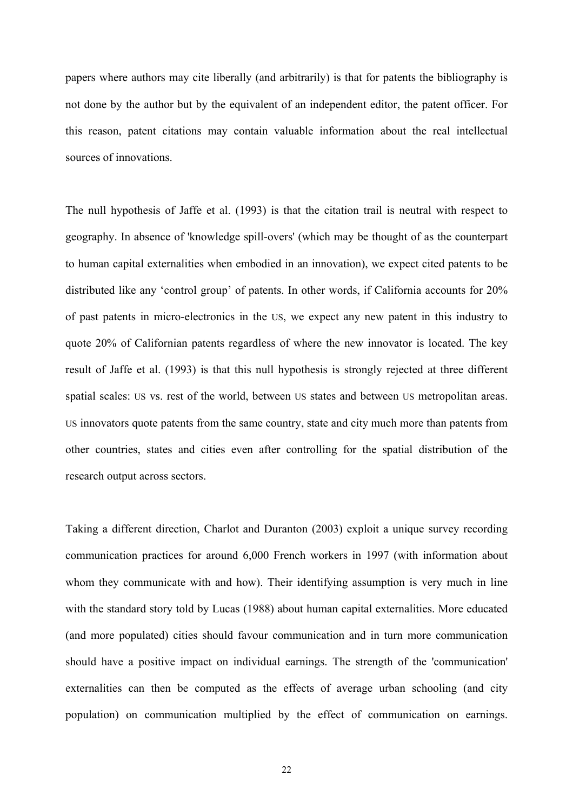papers where authors may cite liberally (and arbitrarily) is that for patents the bibliography is not done by the author but by the equivalent of an independent editor, the patent officer. For this reason, patent citations may contain valuable information about the real intellectual sources of innovations.

The null hypothesis of Jaffe et al. (1993) is that the citation trail is neutral with respect to geography. In absence of 'knowledge spill-overs' (which may be thought of as the counterpart to human capital externalities when embodied in an innovation), we expect cited patents to be distributed like any 'control group' of patents. In other words, if California accounts for 20% of past patents in micro-electronics in the US, we expect any new patent in this industry to quote 20% of Californian patents regardless of where the new innovator is located. The key result of Jaffe et al. (1993) is that this null hypothesis is strongly rejected at three different spatial scales: US vs. rest of the world, between US states and between US metropolitan areas. US innovators quote patents from the same country, state and city much more than patents from other countries, states and cities even after controlling for the spatial distribution of the research output across sectors.

Taking a different direction, Charlot and Duranton (2003) exploit a unique survey recording communication practices for around 6,000 French workers in 1997 (with information about whom they communicate with and how). Their identifying assumption is very much in line with the standard story told by Lucas (1988) about human capital externalities. More educated (and more populated) cities should favour communication and in turn more communication should have a positive impact on individual earnings. The strength of the 'communication' externalities can then be computed as the effects of average urban schooling (and city population) on communication multiplied by the effect of communication on earnings.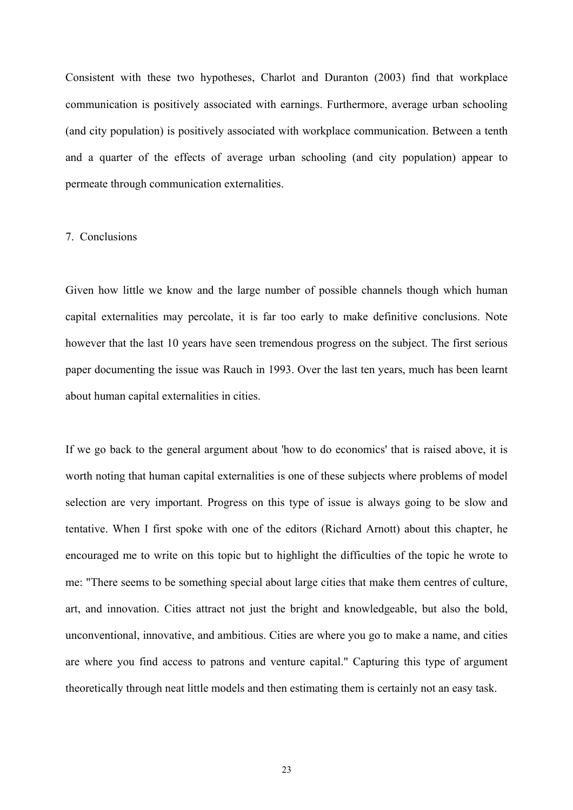Consistent with these two hypotheses, Charlot and Duranton (2003) find that workplace communication is positively associated with earnings. Furthermore, average urban schooling (and city population) is positively associated with workplace communication. Between a tenth and a quarter of the effects of average urban schooling (and city population) appear to permeate through communication externalities.

# 7. Conclusions

Given how little we know and the large number of possible channels though which human capital externalities may percolate, it is far too early to make definitive conclusions. Note however that the last 10 years have seen tremendous progress on the subject. The first serious paper documenting the issue was Rauch in 1993. Over the last ten years, much has been learnt about human capital externalities in cities.

If we go back to the general argument about 'how to do economics' that is raised above, it is worth noting that human capital externalities is one of these subjects where problems of model selection are very important. Progress on this type of issue is always going to be slow and tentative. When I first spoke with one of the editors (Richard Arnott) about this chapter, he encouraged me to write on this topic but to highlight the difficulties of the topic he wrote to me: "There seems to be something special about large cities that make them centres of culture, art, and innovation. Cities attract not just the bright and knowledgeable, but also the bold, unconventional, innovative, and ambitious. Cities are where you go to make a name, and cities are where you find access to patrons and venture capital." Capturing this type of argument theoretically through neat little models and then estimating them is certainly not an easy task.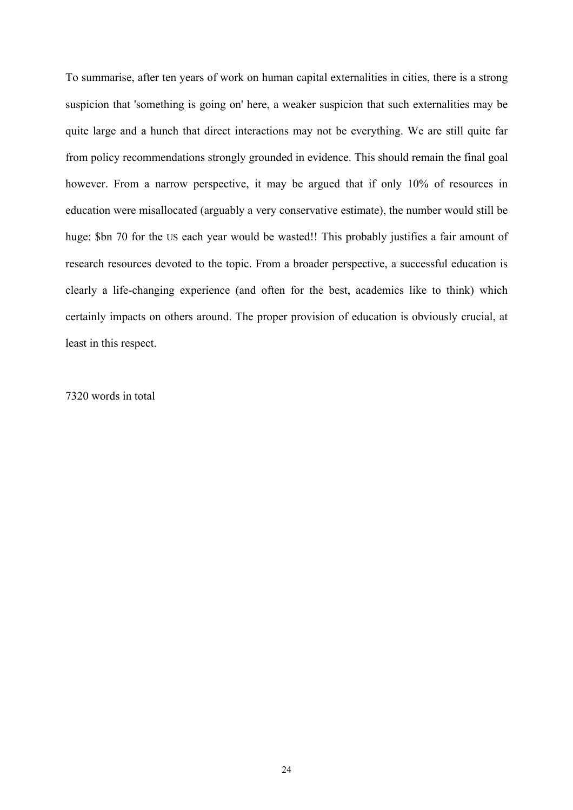To summarise, after ten years of work on human capital externalities in cities, there is a strong suspicion that 'something is going on' here, a weaker suspicion that such externalities may be quite large and a hunch that direct interactions may not be everything. We are still quite far from policy recommendations strongly grounded in evidence. This should remain the final goal however. From a narrow perspective, it may be argued that if only 10% of resources in education were misallocated (arguably a very conservative estimate), the number would still be huge: \$bn 70 for the US each year would be wasted!! This probably justifies a fair amount of research resources devoted to the topic. From a broader perspective, a successful education is clearly a life-changing experience (and often for the best, academics like to think) which certainly impacts on others around. The proper provision of education is obviously crucial, at least in this respect.

7320 words in total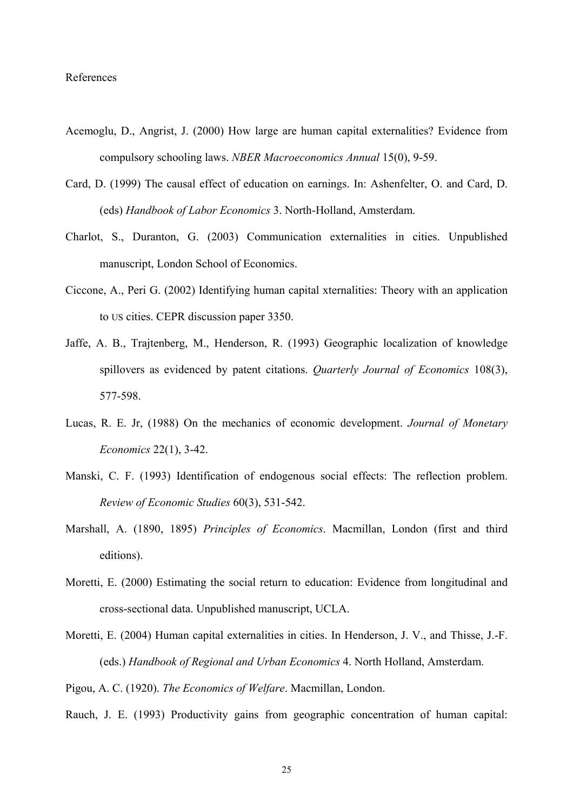- Acemoglu, D., Angrist, J. (2000) How large are human capital externalities? Evidence from compulsory schooling laws. *NBER Macroeconomics Annual* 15(0), 9-59.
- Card, D. (1999) The causal effect of education on earnings. In: Ashenfelter, O. and Card, D. (eds) *Handbook of Labor Economics* 3. North-Holland, Amsterdam.
- Charlot, S., Duranton, G. (2003) Communication externalities in cities. Unpublished manuscript, London School of Economics.
- Ciccone, A., Peri G. (2002) Identifying human capital xternalities: Theory with an application to US cities. CEPR discussion paper 3350.
- Jaffe, A. B., Trajtenberg, M., Henderson, R. (1993) Geographic localization of knowledge spillovers as evidenced by patent citations. *Quarterly Journal of Economics* 108(3), 577-598.
- Lucas, R. E. Jr, (1988) On the mechanics of economic development. *Journal of Monetary Economics* 22(1), 3-42.
- Manski, C. F. (1993) Identification of endogenous social effects: The reflection problem. *Review of Economic Studies* 60(3), 531-542.
- Marshall, A. (1890, 1895) *Principles of Economics*. Macmillan, London (first and third editions).
- Moretti, E. (2000) Estimating the social return to education: Evidence from longitudinal and cross-sectional data. Unpublished manuscript, UCLA.
- Moretti, E. (2004) Human capital externalities in cities. In Henderson, J. V., and Thisse, J.-F. (eds.) *Handbook of Regional and Urban Economics* 4. North Holland, Amsterdam.
- Pigou, A. C. (1920). *The Economics of Welfare*. Macmillan, London.
- Rauch, J. E. (1993) Productivity gains from geographic concentration of human capital: